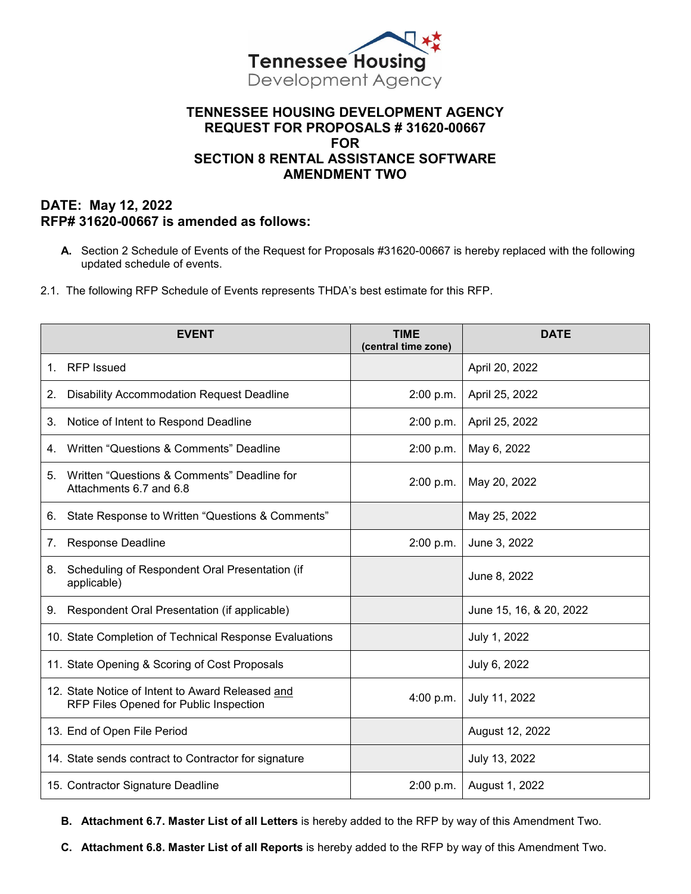

## **TENNESSEE HOUSING DEVELOPMENT AGENCY REQUEST FOR PROPOSALS # 31620-00667 FOR SECTION 8 RENTAL ASSISTANCE SOFTWARE AMENDMENT TWO**

## **DATE: May 12, 2022 RFP# 31620-00667 is amended as follows:**

- **A.** Section 2 Schedule of Events of the Request for Proposals #31620-00667 is hereby replaced with the following updated schedule of events.
- 2.1. The following RFP Schedule of Events represents THDA's best estimate for this RFP.

|                | <b>EVENT</b>                                                                               | <b>TIME</b><br>(central time zone) | <b>DATE</b>             |
|----------------|--------------------------------------------------------------------------------------------|------------------------------------|-------------------------|
| $1_{-}$        | <b>RFP</b> Issued                                                                          |                                    | April 20, 2022          |
| 2.             | <b>Disability Accommodation Request Deadline</b>                                           | 2:00 p.m.                          | April 25, 2022          |
| 3.             | Notice of Intent to Respond Deadline                                                       | 2:00 p.m.                          | April 25, 2022          |
| 4.             | Written "Questions & Comments" Deadline                                                    | 2:00 p.m.                          | May 6, 2022             |
| 5.             | Written "Questions & Comments" Deadline for<br>Attachments 6.7 and 6.8                     | 2:00 p.m.                          | May 20, 2022            |
| 6.             | State Response to Written "Questions & Comments"                                           |                                    | May 25, 2022            |
| 7 <sub>1</sub> | Response Deadline                                                                          | 2:00 p.m.                          | June 3, 2022            |
| 8.             | Scheduling of Respondent Oral Presentation (if<br>applicable)                              |                                    | June 8, 2022            |
| 9.             | Respondent Oral Presentation (if applicable)                                               |                                    | June 15, 16, & 20, 2022 |
|                | 10. State Completion of Technical Response Evaluations                                     |                                    | July 1, 2022            |
|                | 11. State Opening & Scoring of Cost Proposals                                              |                                    | July 6, 2022            |
|                | 12. State Notice of Intent to Award Released and<br>RFP Files Opened for Public Inspection | 4:00 p.m.                          | July 11, 2022           |
|                | 13. End of Open File Period                                                                |                                    | August 12, 2022         |
|                | 14. State sends contract to Contractor for signature                                       |                                    | July 13, 2022           |
|                | 15. Contractor Signature Deadline                                                          | 2:00 p.m.                          | August 1, 2022          |

**B. Attachment 6.7. Master List of all Letters** is hereby added to the RFP by way of this Amendment Two.

**C. Attachment 6.8. Master List of all Reports** is hereby added to the RFP by way of this Amendment Two.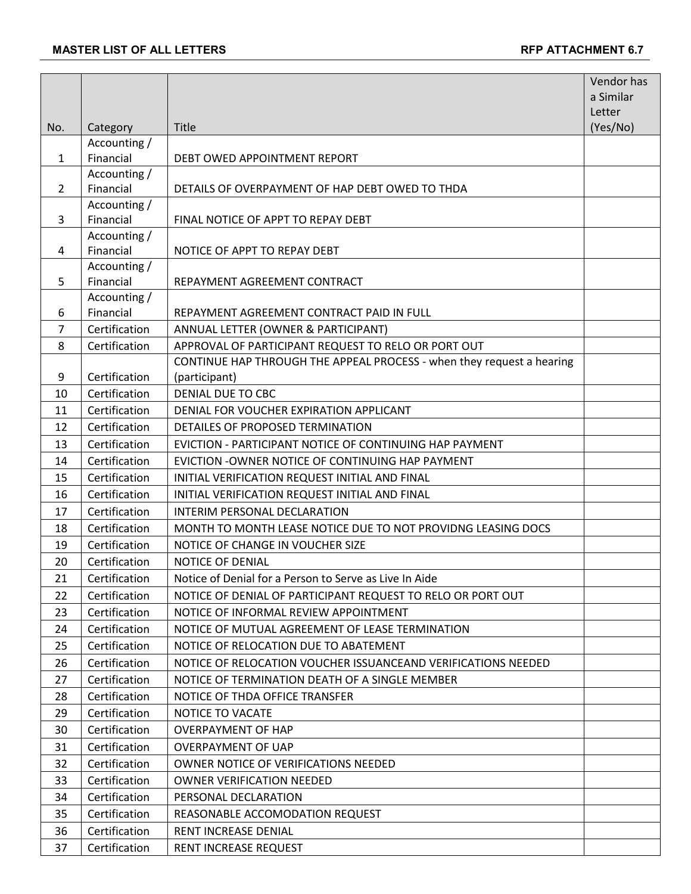|                |                           |                                                                       | Vendor has         |
|----------------|---------------------------|-----------------------------------------------------------------------|--------------------|
|                |                           |                                                                       | a Similar          |
| No.            |                           | Title                                                                 | Letter<br>(Yes/No) |
|                | Category<br>Accounting /  |                                                                       |                    |
| 1              | Financial                 | DEBT OWED APPOINTMENT REPORT                                          |                    |
|                | Accounting /              |                                                                       |                    |
| $\overline{2}$ | Financial                 | DETAILS OF OVERPAYMENT OF HAP DEBT OWED TO THDA                       |                    |
|                | Accounting /              |                                                                       |                    |
| 3              | Financial                 | FINAL NOTICE OF APPT TO REPAY DEBT                                    |                    |
|                | Accounting /              |                                                                       |                    |
| 4              | Financial<br>Accounting / | NOTICE OF APPT TO REPAY DEBT                                          |                    |
| 5              | Financial                 | REPAYMENT AGREEMENT CONTRACT                                          |                    |
|                | Accounting /              |                                                                       |                    |
| 6              | Financial                 | REPAYMENT AGREEMENT CONTRACT PAID IN FULL                             |                    |
| $\overline{7}$ | Certification             | ANNUAL LETTER (OWNER & PARTICIPANT)                                   |                    |
| 8              | Certification             | APPROVAL OF PARTICIPANT REQUEST TO RELO OR PORT OUT                   |                    |
|                |                           | CONTINUE HAP THROUGH THE APPEAL PROCESS - when they request a hearing |                    |
| 9              | Certification             | (participant)                                                         |                    |
| 10             | Certification             | <b>DENIAL DUE TO CBC</b>                                              |                    |
| 11             | Certification             | DENIAL FOR VOUCHER EXPIRATION APPLICANT                               |                    |
| 12             | Certification             | DETAILES OF PROPOSED TERMINATION                                      |                    |
| 13             | Certification             | EVICTION - PARTICIPANT NOTICE OF CONTINUING HAP PAYMENT               |                    |
| 14             | Certification             | EVICTION - OWNER NOTICE OF CONTINUING HAP PAYMENT                     |                    |
| 15             | Certification             | INITIAL VERIFICATION REQUEST INITIAL AND FINAL                        |                    |
| 16             | Certification             | INITIAL VERIFICATION REQUEST INITIAL AND FINAL                        |                    |
| 17             | Certification             | INTERIM PERSONAL DECLARATION                                          |                    |
| 18             | Certification             | MONTH TO MONTH LEASE NOTICE DUE TO NOT PROVIDNG LEASING DOCS          |                    |
| 19             | Certification             | NOTICE OF CHANGE IN VOUCHER SIZE                                      |                    |
| 20             | Certification             | NOTICE OF DENIAL                                                      |                    |
| 21             | Certification             | Notice of Denial for a Person to Serve as Live In Aide                |                    |
| 22             | Certification             | NOTICE OF DENIAL OF PARTICIPANT REQUEST TO RELO OR PORT OUT           |                    |
| 23             | Certification             | NOTICE OF INFORMAL REVIEW APPOINTMENT                                 |                    |
| 24             | Certification             | NOTICE OF MUTUAL AGREEMENT OF LEASE TERMINATION                       |                    |
| 25             | Certification             | NOTICE OF RELOCATION DUE TO ABATEMENT                                 |                    |
| 26             | Certification             | NOTICE OF RELOCATION VOUCHER ISSUANCEAND VERIFICATIONS NEEDED         |                    |
| 27             | Certification             | NOTICE OF TERMINATION DEATH OF A SINGLE MEMBER                        |                    |
| 28             | Certification             | NOTICE OF THDA OFFICE TRANSFER                                        |                    |
| 29             | Certification             | NOTICE TO VACATE                                                      |                    |
| 30             | Certification             | <b>OVERPAYMENT OF HAP</b>                                             |                    |
| 31             | Certification             | <b>OVERPAYMENT OF UAP</b>                                             |                    |
| 32             | Certification             | OWNER NOTICE OF VERIFICATIONS NEEDED                                  |                    |
| 33             | Certification             | <b>OWNER VERIFICATION NEEDED</b>                                      |                    |
| 34             | Certification             | PERSONAL DECLARATION                                                  |                    |
| 35             | Certification             | REASONABLE ACCOMODATION REQUEST                                       |                    |
| 36             | Certification             | RENT INCREASE DENIAL                                                  |                    |
| 37             | Certification             | RENT INCREASE REQUEST                                                 |                    |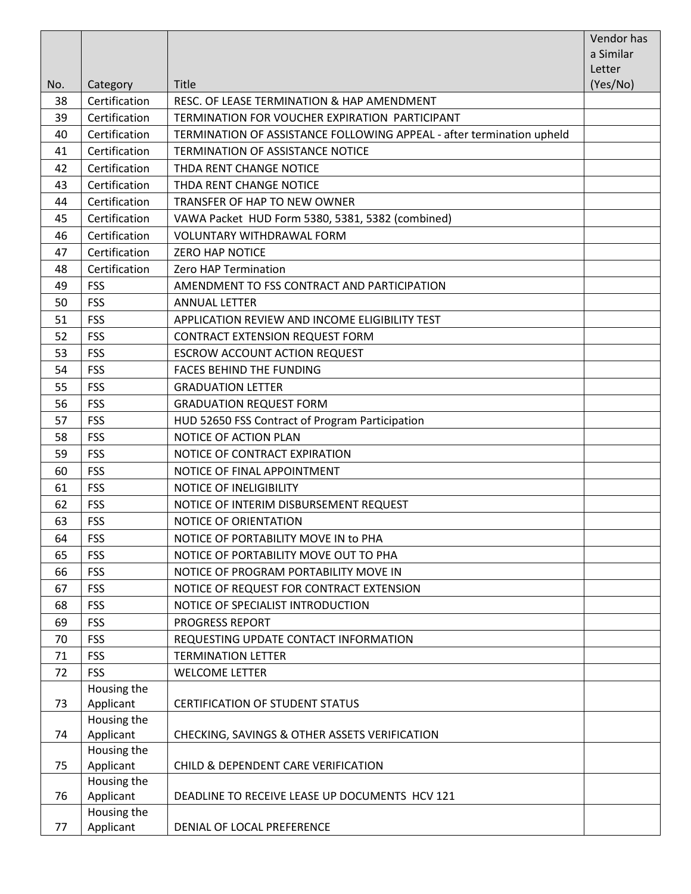|     |                          |                                                                       | Vendor has<br>a Similar |
|-----|--------------------------|-----------------------------------------------------------------------|-------------------------|
|     |                          |                                                                       | Letter                  |
| No. | Category                 | <b>Title</b>                                                          | (Yes/No)                |
| 38  | Certification            | RESC. OF LEASE TERMINATION & HAP AMENDMENT                            |                         |
| 39  | Certification            | TERMINATION FOR VOUCHER EXPIRATION PARTICIPANT                        |                         |
| 40  | Certification            | TERMINATION OF ASSISTANCE FOLLOWING APPEAL - after termination upheld |                         |
| 41  | Certification            | <b>TERMINATION OF ASSISTANCE NOTICE</b>                               |                         |
| 42  | Certification            | THDA RENT CHANGE NOTICE                                               |                         |
| 43  | Certification            | THDA RENT CHANGE NOTICE                                               |                         |
| 44  | Certification            | TRANSFER OF HAP TO NEW OWNER                                          |                         |
| 45  | Certification            | VAWA Packet HUD Form 5380, 5381, 5382 (combined)                      |                         |
| 46  | Certification            | <b>VOLUNTARY WITHDRAWAL FORM</b>                                      |                         |
| 47  | Certification            | <b>ZERO HAP NOTICE</b>                                                |                         |
| 48  | Certification            | Zero HAP Termination                                                  |                         |
| 49  | <b>FSS</b>               | AMENDMENT TO FSS CONTRACT AND PARTICIPATION                           |                         |
| 50  | <b>FSS</b>               | <b>ANNUAL LETTER</b>                                                  |                         |
| 51  | <b>FSS</b>               | APPLICATION REVIEW AND INCOME ELIGIBILITY TEST                        |                         |
| 52  | <b>FSS</b>               | CONTRACT EXTENSION REQUEST FORM                                       |                         |
| 53  | <b>FSS</b>               | <b>ESCROW ACCOUNT ACTION REQUEST</b>                                  |                         |
| 54  | <b>FSS</b>               | <b>FACES BEHIND THE FUNDING</b>                                       |                         |
| 55  | <b>FSS</b>               | <b>GRADUATION LETTER</b>                                              |                         |
| 56  | <b>FSS</b>               | <b>GRADUATION REQUEST FORM</b>                                        |                         |
| 57  | <b>FSS</b>               | HUD 52650 FSS Contract of Program Participation                       |                         |
| 58  | <b>FSS</b>               | NOTICE OF ACTION PLAN                                                 |                         |
| 59  | <b>FSS</b>               | NOTICE OF CONTRACT EXPIRATION                                         |                         |
| 60  | <b>FSS</b>               | NOTICE OF FINAL APPOINTMENT                                           |                         |
| 61  | <b>FSS</b>               | <b>NOTICE OF INELIGIBILITY</b>                                        |                         |
| 62  | <b>FSS</b>               | NOTICE OF INTERIM DISBURSEMENT REQUEST                                |                         |
| 63  | <b>FSS</b>               | NOTICE OF ORIENTATION                                                 |                         |
| 64  | FSS                      | NOTICE OF PORTABILITY MOVE IN to PHA                                  |                         |
| 65  | <b>FSS</b>               | NOTICE OF PORTABILITY MOVE OUT TO PHA                                 |                         |
| 66  | <b>FSS</b>               | NOTICE OF PROGRAM PORTABILITY MOVE IN                                 |                         |
| 67  | <b>FSS</b>               | NOTICE OF REQUEST FOR CONTRACT EXTENSION                              |                         |
| 68  | <b>FSS</b>               | NOTICE OF SPECIALIST INTRODUCTION                                     |                         |
| 69  | <b>FSS</b>               | <b>PROGRESS REPORT</b>                                                |                         |
| 70  | <b>FSS</b>               | REQUESTING UPDATE CONTACT INFORMATION                                 |                         |
| 71  | <b>FSS</b>               | <b>TERMINATION LETTER</b>                                             |                         |
| 72  | <b>FSS</b>               | <b>WELCOME LETTER</b>                                                 |                         |
|     | Housing the              |                                                                       |                         |
| 73  | Applicant                | CERTIFICATION OF STUDENT STATUS                                       |                         |
|     | Housing the              |                                                                       |                         |
| 74  | Applicant                | CHECKING, SAVINGS & OTHER ASSETS VERIFICATION                         |                         |
|     | Housing the              |                                                                       |                         |
| 75  | Applicant                | CHILD & DEPENDENT CARE VERIFICATION                                   |                         |
| 76  | Housing the              | DEADLINE TO RECEIVE LEASE UP DOCUMENTS HCV 121                        |                         |
|     | Applicant<br>Housing the |                                                                       |                         |
| 77  | Applicant                | DENIAL OF LOCAL PREFERENCE                                            |                         |
|     |                          |                                                                       |                         |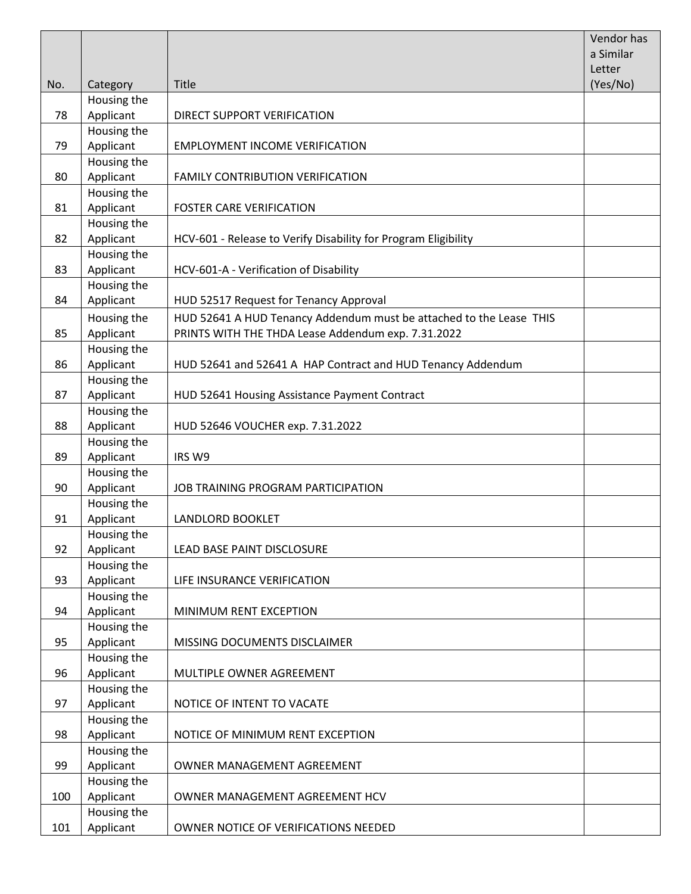|     |                          |                                                                     | <b>Vendor has</b><br>a Similar |
|-----|--------------------------|---------------------------------------------------------------------|--------------------------------|
|     |                          |                                                                     | Letter                         |
| No. | Category                 | Title                                                               | (Yes/No)                       |
|     | Housing the              |                                                                     |                                |
| 78  | Applicant                | DIRECT SUPPORT VERIFICATION                                         |                                |
|     | Housing the              |                                                                     |                                |
| 79  | Applicant                | <b>EMPLOYMENT INCOME VERIFICATION</b>                               |                                |
|     | Housing the              |                                                                     |                                |
| 80  | Applicant                | FAMILY CONTRIBUTION VERIFICATION                                    |                                |
|     | Housing the              |                                                                     |                                |
| 81  | Applicant                | <b>FOSTER CARE VERIFICATION</b>                                     |                                |
|     | Housing the              |                                                                     |                                |
| 82  | Applicant                | HCV-601 - Release to Verify Disability for Program Eligibility      |                                |
|     | Housing the              |                                                                     |                                |
| 83  | Applicant                | HCV-601-A - Verification of Disability                              |                                |
|     | Housing the              |                                                                     |                                |
| 84  | Applicant                | HUD 52517 Request for Tenancy Approval                              |                                |
|     | Housing the              | HUD 52641 A HUD Tenancy Addendum must be attached to the Lease THIS |                                |
| 85  | Applicant                | PRINTS WITH THE THDA Lease Addendum exp. 7.31.2022                  |                                |
|     | Housing the              |                                                                     |                                |
| 86  | Applicant                | HUD 52641 and 52641 A HAP Contract and HUD Tenancy Addendum         |                                |
|     | Housing the              |                                                                     |                                |
| 87  | Applicant                | HUD 52641 Housing Assistance Payment Contract                       |                                |
|     | Housing the              |                                                                     |                                |
| 88  | Applicant                | HUD 52646 VOUCHER exp. 7.31.2022                                    |                                |
|     | Housing the              |                                                                     |                                |
| 89  | Applicant                | IRS W9                                                              |                                |
|     | Housing the              |                                                                     |                                |
| 90  | Applicant                | JOB TRAINING PROGRAM PARTICIPATION                                  |                                |
|     | Housing the              |                                                                     |                                |
| 91  | Applicant                | <b>LANDLORD BOOKLET</b>                                             |                                |
|     | Housing the              |                                                                     |                                |
| 92  | Applicant                | LEAD BASE PAINT DISCLOSURE                                          |                                |
|     | Housing the              |                                                                     |                                |
| 93  | Applicant                | LIFE INSURANCE VERIFICATION                                         |                                |
|     | Housing the              |                                                                     |                                |
| 94  | Applicant<br>Housing the | MINIMUM RENT EXCEPTION                                              |                                |
| 95  | Applicant                |                                                                     |                                |
|     | Housing the              | MISSING DOCUMENTS DISCLAIMER                                        |                                |
| 96  | Applicant                | MULTIPLE OWNER AGREEMENT                                            |                                |
|     | Housing the              |                                                                     |                                |
| 97  | Applicant                | NOTICE OF INTENT TO VACATE                                          |                                |
|     | Housing the              |                                                                     |                                |
| 98  | Applicant                | NOTICE OF MINIMUM RENT EXCEPTION                                    |                                |
|     | Housing the              |                                                                     |                                |
| 99  | Applicant                | OWNER MANAGEMENT AGREEMENT                                          |                                |
|     | Housing the              |                                                                     |                                |
| 100 | Applicant                | OWNER MANAGEMENT AGREEMENT HCV                                      |                                |
|     | Housing the              |                                                                     |                                |
| 101 | Applicant                | OWNER NOTICE OF VERIFICATIONS NEEDED                                |                                |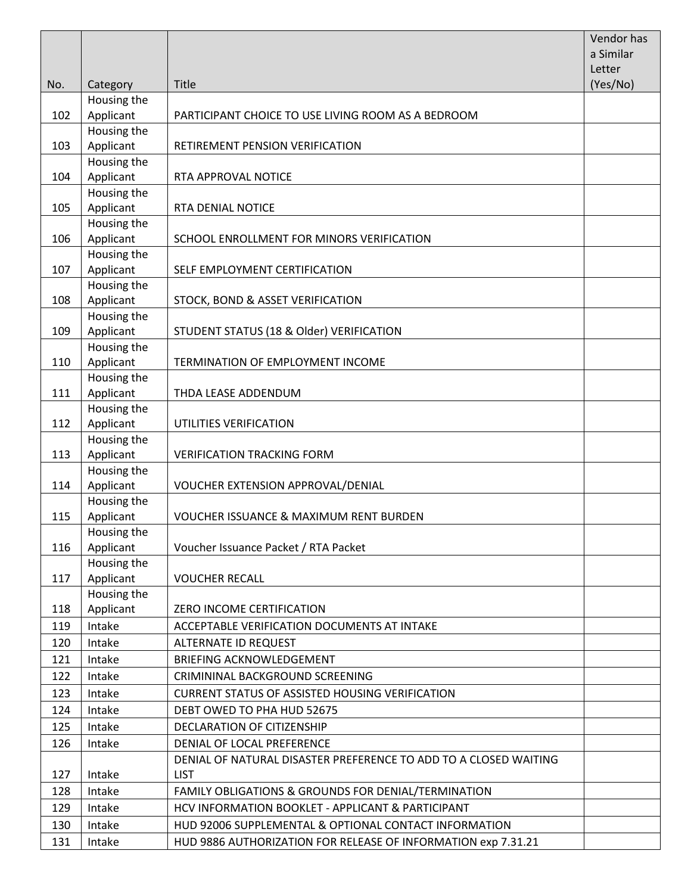|     |                          |                                                                  | Vendor has<br>a Similar |
|-----|--------------------------|------------------------------------------------------------------|-------------------------|
|     |                          |                                                                  | Letter                  |
| No. | Category                 | <b>Title</b>                                                     | (Yes/No)                |
|     | Housing the              |                                                                  |                         |
| 102 | Applicant                | PARTICIPANT CHOICE TO USE LIVING ROOM AS A BEDROOM               |                         |
|     | Housing the              |                                                                  |                         |
| 103 | Applicant                | RETIREMENT PENSION VERIFICATION                                  |                         |
|     | Housing the              |                                                                  |                         |
| 104 | Applicant                | RTA APPROVAL NOTICE                                              |                         |
|     | Housing the              |                                                                  |                         |
| 105 | Applicant                | RTA DENIAL NOTICE                                                |                         |
|     | Housing the              |                                                                  |                         |
| 106 | Applicant                | SCHOOL ENROLLMENT FOR MINORS VERIFICATION                        |                         |
| 107 | Housing the<br>Applicant | SELF EMPLOYMENT CERTIFICATION                                    |                         |
|     | Housing the              |                                                                  |                         |
| 108 | Applicant                | STOCK, BOND & ASSET VERIFICATION                                 |                         |
|     | Housing the              |                                                                  |                         |
| 109 | Applicant                | STUDENT STATUS (18 & Older) VERIFICATION                         |                         |
|     | Housing the              |                                                                  |                         |
| 110 | Applicant                | TERMINATION OF EMPLOYMENT INCOME                                 |                         |
|     | Housing the              |                                                                  |                         |
| 111 | Applicant                | THDA LEASE ADDENDUM                                              |                         |
|     | Housing the              |                                                                  |                         |
| 112 | Applicant                | UTILITIES VERIFICATION                                           |                         |
|     | Housing the              |                                                                  |                         |
| 113 | Applicant                | <b>VERIFICATION TRACKING FORM</b>                                |                         |
|     | Housing the              |                                                                  |                         |
| 114 | Applicant                | VOUCHER EXTENSION APPROVAL/DENIAL                                |                         |
| 115 | Housing the<br>Applicant | <b>VOUCHER ISSUANCE &amp; MAXIMUM RENT BURDEN</b>                |                         |
|     | Housing the              |                                                                  |                         |
| 116 | Applicant                | Voucher Issuance Packet / RTA Packet                             |                         |
|     | Housing the              |                                                                  |                         |
| 117 | Applicant                | <b>VOUCHER RECALL</b>                                            |                         |
|     | Housing the              |                                                                  |                         |
| 118 | Applicant                | ZERO INCOME CERTIFICATION                                        |                         |
| 119 | Intake                   | ACCEPTABLE VERIFICATION DOCUMENTS AT INTAKE                      |                         |
| 120 | Intake                   | ALTERNATE ID REQUEST                                             |                         |
| 121 | Intake                   | <b>BRIEFING ACKNOWLEDGEMENT</b>                                  |                         |
| 122 | Intake                   | CRIMININAL BACKGROUND SCREENING                                  |                         |
| 123 | Intake                   | <b>CURRENT STATUS OF ASSISTED HOUSING VERIFICATION</b>           |                         |
| 124 | Intake                   | DEBT OWED TO PHA HUD 52675                                       |                         |
| 125 | Intake                   | DECLARATION OF CITIZENSHIP                                       |                         |
| 126 | Intake                   | DENIAL OF LOCAL PREFERENCE                                       |                         |
|     |                          | DENIAL OF NATURAL DISASTER PREFERENCE TO ADD TO A CLOSED WAITING |                         |
| 127 | Intake                   | <b>LIST</b>                                                      |                         |
| 128 | Intake                   | FAMILY OBLIGATIONS & GROUNDS FOR DENIAL/TERMINATION              |                         |
| 129 | Intake                   | HCV INFORMATION BOOKLET - APPLICANT & PARTICIPANT                |                         |
| 130 | Intake                   | HUD 92006 SUPPLEMENTAL & OPTIONAL CONTACT INFORMATION            |                         |
| 131 | Intake                   | HUD 9886 AUTHORIZATION FOR RELEASE OF INFORMATION exp 7.31.21    |                         |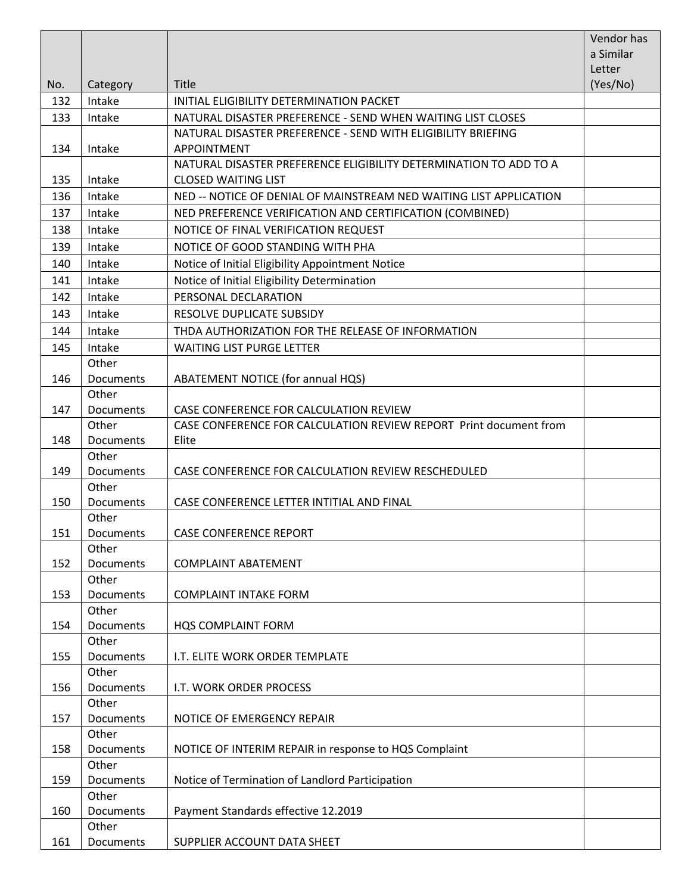|           |                                                                                                                                                                                                                                        | Vendor has<br>a Similar                                                                                                                                                                                                                                                                                                                                                                                                 |
|-----------|----------------------------------------------------------------------------------------------------------------------------------------------------------------------------------------------------------------------------------------|-------------------------------------------------------------------------------------------------------------------------------------------------------------------------------------------------------------------------------------------------------------------------------------------------------------------------------------------------------------------------------------------------------------------------|
|           |                                                                                                                                                                                                                                        | Letter                                                                                                                                                                                                                                                                                                                                                                                                                  |
| Category  | Title                                                                                                                                                                                                                                  | (Yes/No)                                                                                                                                                                                                                                                                                                                                                                                                                |
| Intake    | INITIAL ELIGIBILITY DETERMINATION PACKET                                                                                                                                                                                               |                                                                                                                                                                                                                                                                                                                                                                                                                         |
| Intake    | NATURAL DISASTER PREFERENCE - SEND WHEN WAITING LIST CLOSES                                                                                                                                                                            |                                                                                                                                                                                                                                                                                                                                                                                                                         |
|           | NATURAL DISASTER PREFERENCE - SEND WITH ELIGIBILITY BRIEFING                                                                                                                                                                           |                                                                                                                                                                                                                                                                                                                                                                                                                         |
| Intake    | <b>APPOINTMENT</b>                                                                                                                                                                                                                     |                                                                                                                                                                                                                                                                                                                                                                                                                         |
|           | NATURAL DISASTER PREFERENCE ELIGIBILITY DETERMINATION TO ADD TO A                                                                                                                                                                      |                                                                                                                                                                                                                                                                                                                                                                                                                         |
| Intake    | <b>CLOSED WAITING LIST</b>                                                                                                                                                                                                             |                                                                                                                                                                                                                                                                                                                                                                                                                         |
| Intake    | NED -- NOTICE OF DENIAL OF MAINSTREAM NED WAITING LIST APPLICATION                                                                                                                                                                     |                                                                                                                                                                                                                                                                                                                                                                                                                         |
| Intake    | NED PREFERENCE VERIFICATION AND CERTIFICATION (COMBINED)                                                                                                                                                                               |                                                                                                                                                                                                                                                                                                                                                                                                                         |
| Intake    | NOTICE OF FINAL VERIFICATION REQUEST                                                                                                                                                                                                   |                                                                                                                                                                                                                                                                                                                                                                                                                         |
| Intake    | NOTICE OF GOOD STANDING WITH PHA                                                                                                                                                                                                       |                                                                                                                                                                                                                                                                                                                                                                                                                         |
| Intake    | Notice of Initial Eligibility Appointment Notice                                                                                                                                                                                       |                                                                                                                                                                                                                                                                                                                                                                                                                         |
| Intake    | Notice of Initial Eligibility Determination                                                                                                                                                                                            |                                                                                                                                                                                                                                                                                                                                                                                                                         |
| Intake    | PERSONAL DECLARATION                                                                                                                                                                                                                   |                                                                                                                                                                                                                                                                                                                                                                                                                         |
| Intake    | RESOLVE DUPLICATE SUBSIDY                                                                                                                                                                                                              |                                                                                                                                                                                                                                                                                                                                                                                                                         |
| Intake    | THDA AUTHORIZATION FOR THE RELEASE OF INFORMATION                                                                                                                                                                                      |                                                                                                                                                                                                                                                                                                                                                                                                                         |
| Intake    | <b>WAITING LIST PURGE LETTER</b>                                                                                                                                                                                                       |                                                                                                                                                                                                                                                                                                                                                                                                                         |
| Other     |                                                                                                                                                                                                                                        |                                                                                                                                                                                                                                                                                                                                                                                                                         |
| Documents | ABATEMENT NOTICE (for annual HQS)                                                                                                                                                                                                      |                                                                                                                                                                                                                                                                                                                                                                                                                         |
| Other     |                                                                                                                                                                                                                                        |                                                                                                                                                                                                                                                                                                                                                                                                                         |
| Documents | CASE CONFERENCE FOR CALCULATION REVIEW                                                                                                                                                                                                 |                                                                                                                                                                                                                                                                                                                                                                                                                         |
| Other     | CASE CONFERENCE FOR CALCULATION REVIEW REPORT Print document from                                                                                                                                                                      |                                                                                                                                                                                                                                                                                                                                                                                                                         |
| Documents |                                                                                                                                                                                                                                        |                                                                                                                                                                                                                                                                                                                                                                                                                         |
|           |                                                                                                                                                                                                                                        |                                                                                                                                                                                                                                                                                                                                                                                                                         |
|           |                                                                                                                                                                                                                                        |                                                                                                                                                                                                                                                                                                                                                                                                                         |
|           |                                                                                                                                                                                                                                        |                                                                                                                                                                                                                                                                                                                                                                                                                         |
|           |                                                                                                                                                                                                                                        |                                                                                                                                                                                                                                                                                                                                                                                                                         |
|           |                                                                                                                                                                                                                                        |                                                                                                                                                                                                                                                                                                                                                                                                                         |
|           |                                                                                                                                                                                                                                        |                                                                                                                                                                                                                                                                                                                                                                                                                         |
|           |                                                                                                                                                                                                                                        |                                                                                                                                                                                                                                                                                                                                                                                                                         |
|           |                                                                                                                                                                                                                                        |                                                                                                                                                                                                                                                                                                                                                                                                                         |
|           |                                                                                                                                                                                                                                        |                                                                                                                                                                                                                                                                                                                                                                                                                         |
| Other     |                                                                                                                                                                                                                                        |                                                                                                                                                                                                                                                                                                                                                                                                                         |
| Documents | HQS COMPLAINT FORM                                                                                                                                                                                                                     |                                                                                                                                                                                                                                                                                                                                                                                                                         |
| Other     |                                                                                                                                                                                                                                        |                                                                                                                                                                                                                                                                                                                                                                                                                         |
| Documents | I.T. ELITE WORK ORDER TEMPLATE                                                                                                                                                                                                         |                                                                                                                                                                                                                                                                                                                                                                                                                         |
| Other     |                                                                                                                                                                                                                                        |                                                                                                                                                                                                                                                                                                                                                                                                                         |
| Documents | I.T. WORK ORDER PROCESS                                                                                                                                                                                                                |                                                                                                                                                                                                                                                                                                                                                                                                                         |
|           |                                                                                                                                                                                                                                        |                                                                                                                                                                                                                                                                                                                                                                                                                         |
|           |                                                                                                                                                                                                                                        |                                                                                                                                                                                                                                                                                                                                                                                                                         |
|           |                                                                                                                                                                                                                                        |                                                                                                                                                                                                                                                                                                                                                                                                                         |
|           |                                                                                                                                                                                                                                        |                                                                                                                                                                                                                                                                                                                                                                                                                         |
|           |                                                                                                                                                                                                                                        |                                                                                                                                                                                                                                                                                                                                                                                                                         |
|           |                                                                                                                                                                                                                                        |                                                                                                                                                                                                                                                                                                                                                                                                                         |
|           |                                                                                                                                                                                                                                        |                                                                                                                                                                                                                                                                                                                                                                                                                         |
|           |                                                                                                                                                                                                                                        |                                                                                                                                                                                                                                                                                                                                                                                                                         |
|           |                                                                                                                                                                                                                                        |                                                                                                                                                                                                                                                                                                                                                                                                                         |
|           | Other<br><b>Documents</b><br>Other<br>Documents<br>Other<br>Documents<br>Other<br>Documents<br>Other<br><b>Documents</b><br>Other<br>Documents<br>Other<br>Documents<br>Other<br>Documents<br>Other<br>Documents<br>Other<br>Documents | Elite<br>CASE CONFERENCE FOR CALCULATION REVIEW RESCHEDULED<br>CASE CONFERENCE LETTER INTITIAL AND FINAL<br><b>CASE CONFERENCE REPORT</b><br><b>COMPLAINT ABATEMENT</b><br><b>COMPLAINT INTAKE FORM</b><br>NOTICE OF EMERGENCY REPAIR<br>NOTICE OF INTERIM REPAIR in response to HQS Complaint<br>Notice of Termination of Landlord Participation<br>Payment Standards effective 12.2019<br>SUPPLIER ACCOUNT DATA SHEET |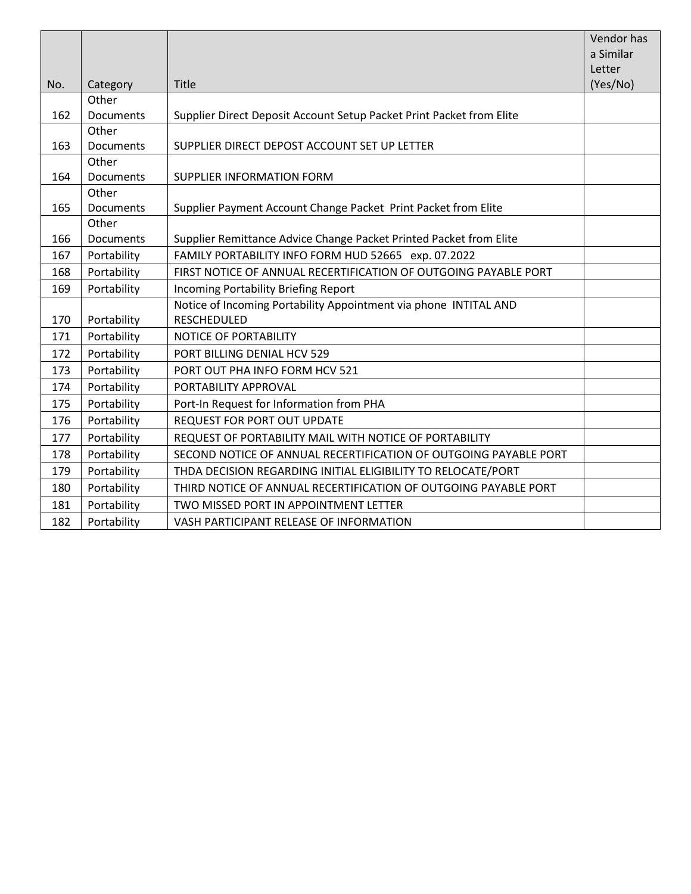|     |                  |                                                                      | Vendor has |
|-----|------------------|----------------------------------------------------------------------|------------|
|     |                  |                                                                      | a Similar  |
|     |                  |                                                                      | Letter     |
| No. | Category         | <b>Title</b>                                                         | (Yes/No)   |
|     | Other            |                                                                      |            |
| 162 | <b>Documents</b> | Supplier Direct Deposit Account Setup Packet Print Packet from Elite |            |
|     | Other            |                                                                      |            |
| 163 | Documents        | SUPPLIER DIRECT DEPOST ACCOUNT SET UP LETTER                         |            |
|     | Other            |                                                                      |            |
| 164 | Documents        | SUPPLIER INFORMATION FORM                                            |            |
|     | Other            |                                                                      |            |
| 165 | Documents        | Supplier Payment Account Change Packet Print Packet from Elite       |            |
|     | Other            |                                                                      |            |
| 166 | Documents        | Supplier Remittance Advice Change Packet Printed Packet from Elite   |            |
| 167 | Portability      | FAMILY PORTABILITY INFO FORM HUD 52665 exp. 07.2022                  |            |
| 168 | Portability      | FIRST NOTICE OF ANNUAL RECERTIFICATION OF OUTGOING PAYABLE PORT      |            |
| 169 | Portability      | <b>Incoming Portability Briefing Report</b>                          |            |
|     |                  | Notice of Incoming Portability Appointment via phone INTITAL AND     |            |
| 170 | Portability      | <b>RESCHEDULED</b>                                                   |            |
| 171 | Portability      | NOTICE OF PORTABILITY                                                |            |
| 172 | Portability      | PORT BILLING DENIAL HCV 529                                          |            |
| 173 | Portability      | PORT OUT PHA INFO FORM HCV 521                                       |            |
| 174 | Portability      | PORTABILITY APPROVAL                                                 |            |
| 175 | Portability      | Port-In Request for Information from PHA                             |            |
| 176 | Portability      | <b>REQUEST FOR PORT OUT UPDATE</b>                                   |            |
| 177 | Portability      | REQUEST OF PORTABILITY MAIL WITH NOTICE OF PORTABILITY               |            |
| 178 | Portability      | SECOND NOTICE OF ANNUAL RECERTIFICATION OF OUTGOING PAYABLE PORT     |            |
| 179 | Portability      | THDA DECISION REGARDING INITIAL ELIGIBILITY TO RELOCATE/PORT         |            |
| 180 | Portability      | THIRD NOTICE OF ANNUAL RECERTIFICATION OF OUTGOING PAYABLE PORT      |            |
| 181 | Portability      | TWO MISSED PORT IN APPOINTMENT LETTER                                |            |
| 182 | Portability      | VASH PARTICIPANT RELEASE OF INFORMATION                              |            |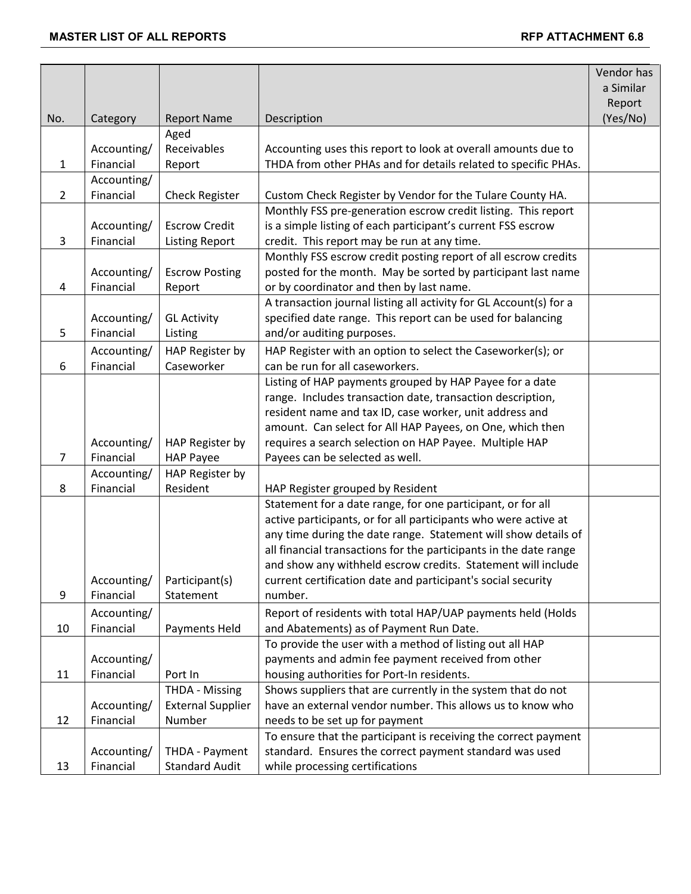|                |                          |                             |                                                                                                                                   | Vendor has |
|----------------|--------------------------|-----------------------------|-----------------------------------------------------------------------------------------------------------------------------------|------------|
|                |                          |                             |                                                                                                                                   | a Similar  |
|                |                          |                             |                                                                                                                                   | Report     |
| No.            | Category                 | <b>Report Name</b>          | Description                                                                                                                       | (Yes/No)   |
|                |                          | Aged                        |                                                                                                                                   |            |
|                | Accounting/              | Receivables                 | Accounting uses this report to look at overall amounts due to                                                                     |            |
| $\mathbf{1}$   | Financial                | Report                      | THDA from other PHAs and for details related to specific PHAs.                                                                    |            |
|                | Accounting/              |                             |                                                                                                                                   |            |
| $\overline{2}$ | Financial                | <b>Check Register</b>       | Custom Check Register by Vendor for the Tulare County HA.                                                                         |            |
|                |                          |                             | Monthly FSS pre-generation escrow credit listing. This report                                                                     |            |
|                | Accounting/              | <b>Escrow Credit</b>        | is a simple listing of each participant's current FSS escrow                                                                      |            |
| 3              | Financial                | <b>Listing Report</b>       | credit. This report may be run at any time.                                                                                       |            |
|                |                          |                             | Monthly FSS escrow credit posting report of all escrow credits                                                                    |            |
|                | Accounting/              | <b>Escrow Posting</b>       | posted for the month. May be sorted by participant last name                                                                      |            |
| 4              | Financial                | Report                      | or by coordinator and then by last name.                                                                                          |            |
|                |                          |                             | A transaction journal listing all activity for GL Account(s) for a                                                                |            |
|                | Accounting/              | <b>GL Activity</b>          | specified date range. This report can be used for balancing                                                                       |            |
| 5              | Financial                | Listing                     | and/or auditing purposes.                                                                                                         |            |
|                | Accounting/              | HAP Register by             | HAP Register with an option to select the Caseworker(s); or                                                                       |            |
| 6              | Financial                | Caseworker                  | can be run for all caseworkers.                                                                                                   |            |
|                |                          |                             | Listing of HAP payments grouped by HAP Payee for a date                                                                           |            |
|                |                          |                             | range. Includes transaction date, transaction description,                                                                        |            |
|                |                          |                             | resident name and tax ID, case worker, unit address and                                                                           |            |
|                |                          |                             | amount. Can select for All HAP Payees, on One, which then                                                                         |            |
|                | Accounting/              | HAP Register by             | requires a search selection on HAP Payee. Multiple HAP                                                                            |            |
| $\overline{7}$ | Financial                | <b>HAP Payee</b>            | Payees can be selected as well.                                                                                                   |            |
|                | Accounting/              | HAP Register by             |                                                                                                                                   |            |
| 8              | Financial                | Resident                    | HAP Register grouped by Resident                                                                                                  |            |
|                |                          |                             | Statement for a date range, for one participant, or for all                                                                       |            |
|                |                          |                             | active participants, or for all participants who were active at                                                                   |            |
|                |                          |                             | any time during the date range. Statement will show details of                                                                    |            |
|                |                          |                             | all financial transactions for the participants in the date range<br>and show any withheld escrow credits. Statement will include |            |
|                | Accounting/              |                             | current certification date and participant's social security                                                                      |            |
| 9              | Financial                | Participant(s)<br>Statement | number.                                                                                                                           |            |
|                |                          |                             |                                                                                                                                   |            |
|                | Accounting/              |                             | Report of residents with total HAP/UAP payments held (Holds                                                                       |            |
| 10             | Financial                | Payments Held               | and Abatements) as of Payment Run Date.<br>To provide the user with a method of listing out all HAP                               |            |
|                |                          |                             |                                                                                                                                   |            |
|                | Accounting/<br>Financial | Port In                     | payments and admin fee payment received from other<br>housing authorities for Port-In residents.                                  |            |
| 11             |                          | <b>THDA - Missing</b>       | Shows suppliers that are currently in the system that do not                                                                      |            |
|                | Accounting/              | <b>External Supplier</b>    | have an external vendor number. This allows us to know who                                                                        |            |
| 12             | Financial                | Number                      | needs to be set up for payment                                                                                                    |            |
|                |                          |                             | To ensure that the participant is receiving the correct payment                                                                   |            |
|                | Accounting/              | THDA - Payment              | standard. Ensures the correct payment standard was used                                                                           |            |
| 13             | Financial                | <b>Standard Audit</b>       | while processing certifications                                                                                                   |            |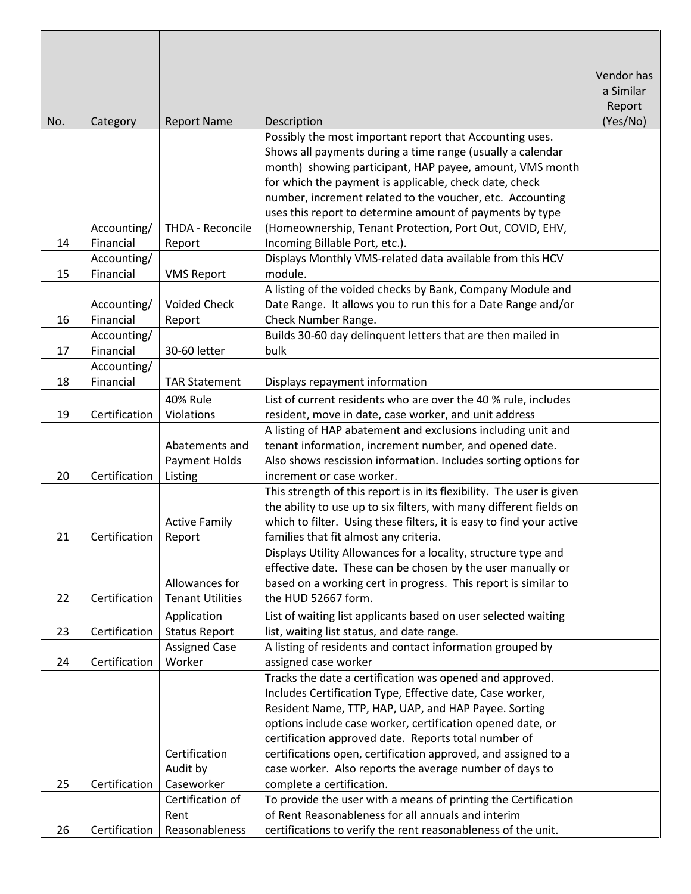|     |                          |                                |                                                                                                                                              | Vendor has<br>a Similar<br>Report |
|-----|--------------------------|--------------------------------|----------------------------------------------------------------------------------------------------------------------------------------------|-----------------------------------|
| No. | Category                 | <b>Report Name</b>             | Description                                                                                                                                  | (Yes/No)                          |
|     |                          |                                | Possibly the most important report that Accounting uses.                                                                                     |                                   |
|     |                          |                                | Shows all payments during a time range (usually a calendar                                                                                   |                                   |
|     |                          |                                | month) showing participant, HAP payee, amount, VMS month                                                                                     |                                   |
|     |                          |                                | for which the payment is applicable, check date, check                                                                                       |                                   |
|     |                          |                                | number, increment related to the voucher, etc. Accounting<br>uses this report to determine amount of payments by type                        |                                   |
|     | Accounting/              | THDA - Reconcile               | (Homeownership, Tenant Protection, Port Out, COVID, EHV,                                                                                     |                                   |
| 14  | Financial                | Report                         | Incoming Billable Port, etc.).                                                                                                               |                                   |
|     | Accounting/              |                                | Displays Monthly VMS-related data available from this HCV                                                                                    |                                   |
| 15  | Financial                | <b>VMS Report</b>              | module.                                                                                                                                      |                                   |
|     |                          |                                | A listing of the voided checks by Bank, Company Module and                                                                                   |                                   |
|     | Accounting/              | <b>Voided Check</b>            | Date Range. It allows you to run this for a Date Range and/or                                                                                |                                   |
| 16  | Financial                | Report                         | Check Number Range.                                                                                                                          |                                   |
|     | Accounting/              |                                | Builds 30-60 day delinquent letters that are then mailed in                                                                                  |                                   |
| 17  | Financial<br>Accounting/ | 30-60 letter                   | bulk                                                                                                                                         |                                   |
| 18  | Financial                | <b>TAR Statement</b>           | Displays repayment information                                                                                                               |                                   |
|     |                          | <b>40% Rule</b>                | List of current residents who are over the 40 % rule, includes                                                                               |                                   |
| 19  | Certification            | Violations                     | resident, move in date, case worker, and unit address                                                                                        |                                   |
|     |                          |                                | A listing of HAP abatement and exclusions including unit and                                                                                 |                                   |
|     |                          | Abatements and                 | tenant information, increment number, and opened date.                                                                                       |                                   |
|     |                          | <b>Payment Holds</b>           | Also shows rescission information. Includes sorting options for                                                                              |                                   |
| 20  | Certification            | Listing                        | increment or case worker.                                                                                                                    |                                   |
|     |                          |                                | This strength of this report is in its flexibility. The user is given<br>the ability to use up to six filters, with many different fields on |                                   |
|     |                          | <b>Active Family</b>           | which to filter. Using these filters, it is easy to find your active                                                                         |                                   |
| 21  | Certification            | Report                         | families that fit almost any criteria.                                                                                                       |                                   |
|     |                          |                                | Displays Utility Allowances for a locality, structure type and                                                                               |                                   |
|     |                          |                                | effective date. These can be chosen by the user manually or                                                                                  |                                   |
|     |                          | Allowances for                 | based on a working cert in progress. This report is similar to                                                                               |                                   |
| 22  | Certification            | <b>Tenant Utilities</b>        | the HUD 52667 form.                                                                                                                          |                                   |
|     |                          | Application                    | List of waiting list applicants based on user selected waiting                                                                               |                                   |
| 23  | Certification            | <b>Status Report</b>           | list, waiting list status, and date range.                                                                                                   |                                   |
| 24  | Certification            | <b>Assigned Case</b><br>Worker | A listing of residents and contact information grouped by<br>assigned case worker                                                            |                                   |
|     |                          |                                | Tracks the date a certification was opened and approved.                                                                                     |                                   |
|     |                          |                                | Includes Certification Type, Effective date, Case worker,                                                                                    |                                   |
|     |                          |                                | Resident Name, TTP, HAP, UAP, and HAP Payee. Sorting                                                                                         |                                   |
|     |                          |                                | options include case worker, certification opened date, or                                                                                   |                                   |
|     |                          |                                | certification approved date. Reports total number of                                                                                         |                                   |
|     |                          | Certification                  | certifications open, certification approved, and assigned to a                                                                               |                                   |
| 25  | Certification            | Audit by<br>Caseworker         | case worker. Also reports the average number of days to<br>complete a certification.                                                         |                                   |
|     |                          | Certification of               | To provide the user with a means of printing the Certification                                                                               |                                   |
|     |                          | Rent                           | of Rent Reasonableness for all annuals and interim                                                                                           |                                   |
| 26  | Certification            | Reasonableness                 | certifications to verify the rent reasonableness of the unit.                                                                                |                                   |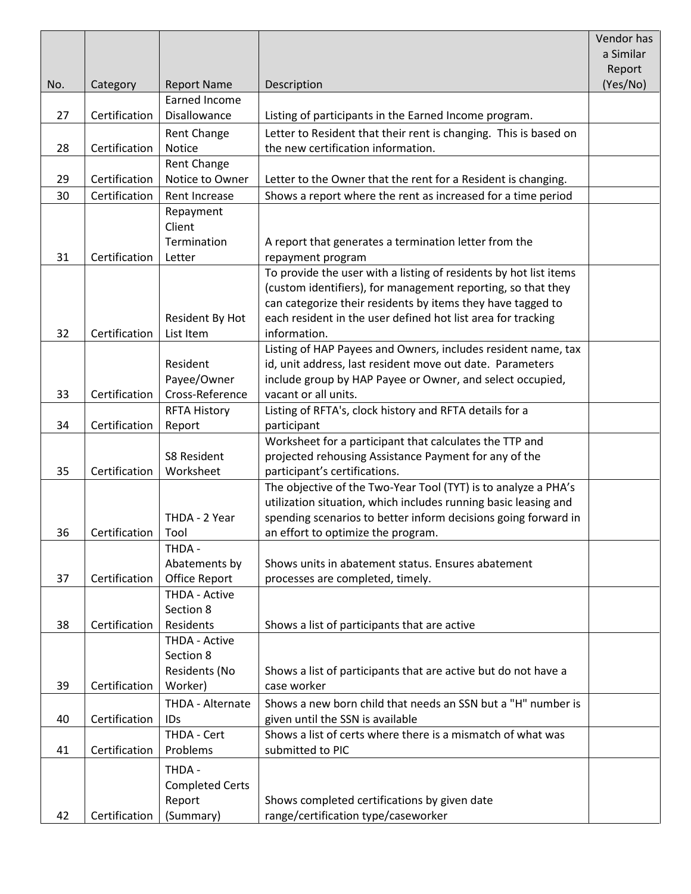|     |               |                                  |                                                                                                  | Vendor has |
|-----|---------------|----------------------------------|--------------------------------------------------------------------------------------------------|------------|
|     |               |                                  |                                                                                                  | a Similar  |
|     |               |                                  |                                                                                                  | Report     |
| No. | Category      | <b>Report Name</b>               | Description                                                                                      | (Yes/No)   |
|     |               | Earned Income                    |                                                                                                  |            |
| 27  | Certification | Disallowance                     | Listing of participants in the Earned Income program.                                            |            |
|     |               | Rent Change                      | Letter to Resident that their rent is changing. This is based on                                 |            |
| 28  | Certification | Notice                           | the new certification information.                                                               |            |
|     |               | Rent Change                      |                                                                                                  |            |
| 29  | Certification | Notice to Owner                  | Letter to the Owner that the rent for a Resident is changing.                                    |            |
| 30  | Certification | Rent Increase                    | Shows a report where the rent as increased for a time period                                     |            |
|     |               | Repayment                        |                                                                                                  |            |
|     |               | Client                           |                                                                                                  |            |
|     |               | Termination                      | A report that generates a termination letter from the                                            |            |
| 31  | Certification | Letter                           | repayment program                                                                                |            |
|     |               |                                  | To provide the user with a listing of residents by hot list items                                |            |
|     |               |                                  | (custom identifiers), for management reporting, so that they                                     |            |
|     |               |                                  | can categorize their residents by items they have tagged to                                      |            |
| 32  | Certification | Resident By Hot<br>List Item     | each resident in the user defined hot list area for tracking<br>information.                     |            |
|     |               |                                  | Listing of HAP Payees and Owners, includes resident name, tax                                    |            |
|     |               | Resident                         | id, unit address, last resident move out date. Parameters                                        |            |
|     |               | Payee/Owner                      | include group by HAP Payee or Owner, and select occupied,                                        |            |
| 33  | Certification | Cross-Reference                  | vacant or all units.                                                                             |            |
|     |               | <b>RFTA History</b>              | Listing of RFTA's, clock history and RFTA details for a                                          |            |
| 34  | Certification | Report                           | participant                                                                                      |            |
|     |               |                                  | Worksheet for a participant that calculates the TTP and                                          |            |
|     |               | S8 Resident                      | projected rehousing Assistance Payment for any of the                                            |            |
| 35  | Certification | Worksheet                        | participant's certifications.                                                                    |            |
|     |               |                                  | The objective of the Two-Year Tool (TYT) is to analyze a PHA's                                   |            |
|     |               |                                  | utilization situation, which includes running basic leasing and                                  |            |
|     |               | THDA - 2 Year                    | spending scenarios to better inform decisions going forward in                                   |            |
| 36  | Certification | Tool                             | an effort to optimize the program.                                                               |            |
|     |               | THDA -                           |                                                                                                  |            |
|     |               | Abatements by                    | Shows units in abatement status. Ensures abatement                                               |            |
| 37  | Certification | Office Report                    | processes are completed, timely.                                                                 |            |
|     |               | THDA - Active                    |                                                                                                  |            |
|     |               | Section 8                        |                                                                                                  |            |
| 38  | Certification | Residents                        | Shows a list of participants that are active                                                     |            |
|     |               | THDA - Active<br>Section 8       |                                                                                                  |            |
|     |               | Residents (No                    | Shows a list of participants that are active but do not have a                                   |            |
| 39  | Certification | Worker)                          | case worker                                                                                      |            |
|     |               | THDA - Alternate                 |                                                                                                  |            |
| 40  | Certification | IDs                              | Shows a new born child that needs an SSN but a "H" number is<br>given until the SSN is available |            |
|     |               | THDA - Cert                      | Shows a list of certs where there is a mismatch of what was                                      |            |
| 41  | Certification | Problems                         | submitted to PIC                                                                                 |            |
|     |               |                                  |                                                                                                  |            |
|     |               | THDA -                           |                                                                                                  |            |
|     |               | <b>Completed Certs</b><br>Report | Shows completed certifications by given date                                                     |            |
| 42  | Certification |                                  | range/certification type/caseworker                                                              |            |
|     |               | (Summary)                        |                                                                                                  |            |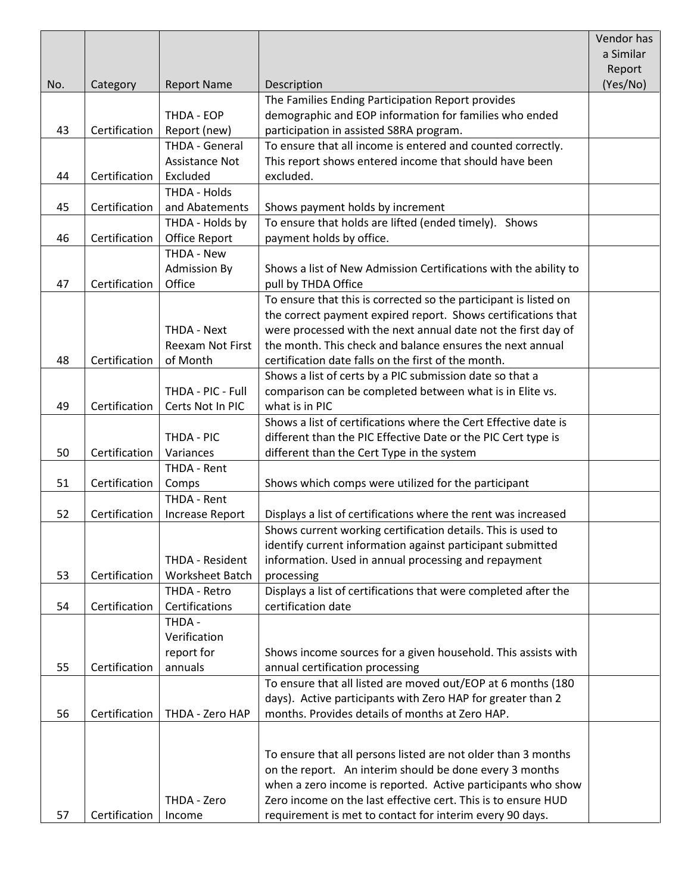|     |               |                         |                                                                  | Vendor has |
|-----|---------------|-------------------------|------------------------------------------------------------------|------------|
|     |               |                         |                                                                  | a Similar  |
|     |               |                         |                                                                  | Report     |
| No. | Category      | <b>Report Name</b>      | Description                                                      | (Yes/No)   |
|     |               |                         | The Families Ending Participation Report provides                |            |
|     |               | THDA - EOP              | demographic and EOP information for families who ended           |            |
| 43  | Certification | Report (new)            | participation in assisted S8RA program.                          |            |
|     |               | THDA - General          | To ensure that all income is entered and counted correctly.      |            |
|     |               | Assistance Not          | This report shows entered income that should have been           |            |
| 44  | Certification | Excluded                | excluded.                                                        |            |
|     |               | THDA - Holds            |                                                                  |            |
| 45  | Certification | and Abatements          | Shows payment holds by increment                                 |            |
|     |               | THDA - Holds by         | To ensure that holds are lifted (ended timely). Shows            |            |
| 46  | Certification | Office Report           | payment holds by office.                                         |            |
|     |               | THDA - New              |                                                                  |            |
|     |               | <b>Admission By</b>     | Shows a list of New Admission Certifications with the ability to |            |
| 47  | Certification | Office                  | pull by THDA Office                                              |            |
|     |               |                         | To ensure that this is corrected so the participant is listed on |            |
|     |               |                         | the correct payment expired report. Shows certifications that    |            |
|     |               | THDA - Next             | were processed with the next annual date not the first day of    |            |
|     |               | <b>Reexam Not First</b> | the month. This check and balance ensures the next annual        |            |
| 48  | Certification | of Month                | certification date falls on the first of the month.              |            |
|     |               |                         | Shows a list of certs by a PIC submission date so that a         |            |
|     |               | THDA - PIC - Full       | comparison can be completed between what is in Elite vs.         |            |
| 49  | Certification | Certs Not In PIC        | what is in PIC                                                   |            |
|     |               |                         | Shows a list of certifications where the Cert Effective date is  |            |
|     |               | THDA - PIC              | different than the PIC Effective Date or the PIC Cert type is    |            |
| 50  | Certification | Variances               | different than the Cert Type in the system                       |            |
|     |               | THDA - Rent             |                                                                  |            |
| 51  | Certification | Comps                   | Shows which comps were utilized for the participant              |            |
|     |               | THDA - Rent             |                                                                  |            |
| 52  | Certification | <b>Increase Report</b>  | Displays a list of certifications where the rent was increased   |            |
|     |               |                         | Shows current working certification details. This is used to     |            |
|     |               |                         | identify current information against participant submitted       |            |
|     |               | THDA - Resident         | information. Used in annual processing and repayment             |            |
| 53  | Certification | <b>Worksheet Batch</b>  | processing                                                       |            |
|     |               | THDA - Retro            | Displays a list of certifications that were completed after the  |            |
| 54  | Certification | Certifications          | certification date                                               |            |
|     |               | THDA -                  |                                                                  |            |
|     |               | Verification            |                                                                  |            |
|     |               | report for              | Shows income sources for a given household. This assists with    |            |
| 55  | Certification | annuals                 | annual certification processing                                  |            |
|     |               |                         | To ensure that all listed are moved out/EOP at 6 months (180     |            |
|     |               |                         | days). Active participants with Zero HAP for greater than 2      |            |
| 56  | Certification | THDA - Zero HAP         | months. Provides details of months at Zero HAP.                  |            |
|     |               |                         |                                                                  |            |
|     |               |                         | To ensure that all persons listed are not older than 3 months    |            |
|     |               |                         | on the report. An interim should be done every 3 months          |            |
|     |               |                         | when a zero income is reported. Active participants who show     |            |
|     |               | THDA - Zero             | Zero income on the last effective cert. This is to ensure HUD    |            |
| 57  | Certification | Income                  | requirement is met to contact for interim every 90 days.         |            |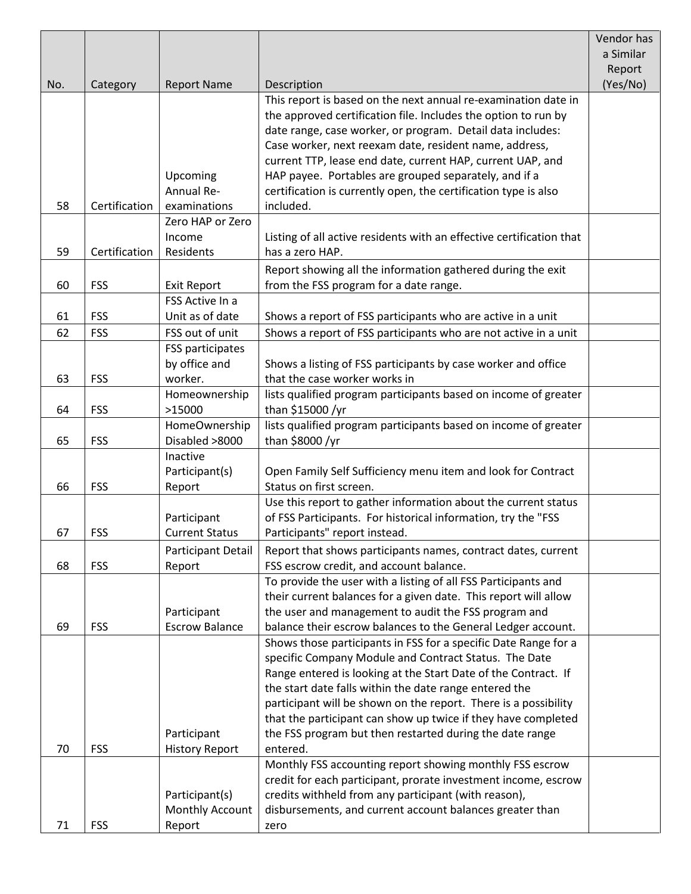|     |               |                       |                                                                      | Vendor has |
|-----|---------------|-----------------------|----------------------------------------------------------------------|------------|
|     |               |                       |                                                                      | a Similar  |
|     |               |                       |                                                                      | Report     |
| No. | Category      | <b>Report Name</b>    | Description                                                          | (Yes/No)   |
|     |               |                       | This report is based on the next annual re-examination date in       |            |
|     |               |                       | the approved certification file. Includes the option to run by       |            |
|     |               |                       | date range, case worker, or program. Detail data includes:           |            |
|     |               |                       | Case worker, next reexam date, resident name, address,               |            |
|     |               |                       | current TTP, lease end date, current HAP, current UAP, and           |            |
|     |               | Upcoming              | HAP payee. Portables are grouped separately, and if a                |            |
|     |               | Annual Re-            | certification is currently open, the certification type is also      |            |
| 58  | Certification | examinations          | included.                                                            |            |
|     |               | Zero HAP or Zero      |                                                                      |            |
|     |               | Income                | Listing of all active residents with an effective certification that |            |
| 59  | Certification | Residents             | has a zero HAP.                                                      |            |
|     |               |                       | Report showing all the information gathered during the exit          |            |
| 60  | <b>FSS</b>    | <b>Exit Report</b>    | from the FSS program for a date range.                               |            |
|     |               | FSS Active In a       |                                                                      |            |
| 61  | <b>FSS</b>    | Unit as of date       | Shows a report of FSS participants who are active in a unit          |            |
| 62  | <b>FSS</b>    | FSS out of unit       | Shows a report of FSS participants who are not active in a unit      |            |
|     |               | FSS participates      |                                                                      |            |
|     |               | by office and         | Shows a listing of FSS participants by case worker and office        |            |
| 63  | <b>FSS</b>    | worker.               | that the case worker works in                                        |            |
|     |               | Homeownership         | lists qualified program participants based on income of greater      |            |
| 64  | <b>FSS</b>    | >15000                | than \$15000 /yr                                                     |            |
|     |               | HomeOwnership         | lists qualified program participants based on income of greater      |            |
| 65  | <b>FSS</b>    | Disabled >8000        | than \$8000 /yr                                                      |            |
|     |               | Inactive              |                                                                      |            |
|     |               | Participant(s)        | Open Family Self Sufficiency menu item and look for Contract         |            |
| 66  | <b>FSS</b>    | Report                | Status on first screen.                                              |            |
|     |               |                       | Use this report to gather information about the current status       |            |
|     |               | Participant           | of FSS Participants. For historical information, try the "FSS        |            |
| 67  | <b>FSS</b>    | <b>Current Status</b> | Participants" report instead.                                        |            |
|     |               | Participant Detail    | Report that shows participants names, contract dates, current        |            |
| 68  | <b>FSS</b>    | Report                | FSS escrow credit, and account balance.                              |            |
|     |               |                       | To provide the user with a listing of all FSS Participants and       |            |
|     |               |                       | their current balances for a given date. This report will allow      |            |
|     |               | Participant           | the user and management to audit the FSS program and                 |            |
| 69  | <b>FSS</b>    | <b>Escrow Balance</b> | balance their escrow balances to the General Ledger account.         |            |
|     |               |                       | Shows those participants in FSS for a specific Date Range for a      |            |
|     |               |                       | specific Company Module and Contract Status. The Date                |            |
|     |               |                       | Range entered is looking at the Start Date of the Contract. If       |            |
|     |               |                       | the start date falls within the date range entered the               |            |
|     |               |                       | participant will be shown on the report. There is a possibility      |            |
|     |               |                       | that the participant can show up twice if they have completed        |            |
|     |               | Participant           | the FSS program but then restarted during the date range             |            |
| 70  | <b>FSS</b>    | <b>History Report</b> | entered.                                                             |            |
|     |               |                       | Monthly FSS accounting report showing monthly FSS escrow             |            |
|     |               |                       | credit for each participant, prorate investment income, escrow       |            |
|     |               | Participant(s)        | credits withheld from any participant (with reason),                 |            |
|     |               | Monthly Account       | disbursements, and current account balances greater than             |            |
| 71  | <b>FSS</b>    | Report                | zero                                                                 |            |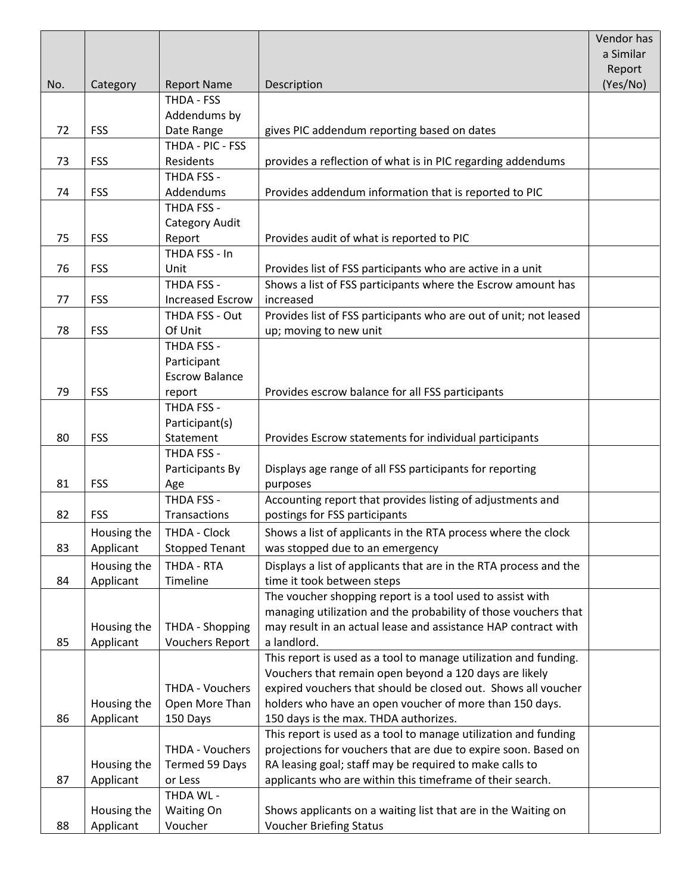|     |             |                         |                                                                   | Vendor has |
|-----|-------------|-------------------------|-------------------------------------------------------------------|------------|
|     |             |                         |                                                                   | a Similar  |
|     |             |                         |                                                                   | Report     |
| No. | Category    | <b>Report Name</b>      | Description                                                       | (Yes/No)   |
|     |             | THDA - FSS              |                                                                   |            |
|     |             | Addendums by            |                                                                   |            |
| 72  | <b>FSS</b>  | Date Range              | gives PIC addendum reporting based on dates                       |            |
|     |             | THDA - PIC - FSS        |                                                                   |            |
| 73  | <b>FSS</b>  | Residents               | provides a reflection of what is in PIC regarding addendums       |            |
|     |             | THDA FSS -              |                                                                   |            |
| 74  | <b>FSS</b>  | Addendums               | Provides addendum information that is reported to PIC             |            |
|     |             | THDA FSS -              |                                                                   |            |
|     |             | Category Audit          |                                                                   |            |
| 75  | <b>FSS</b>  | Report                  | Provides audit of what is reported to PIC                         |            |
|     |             | THDA FSS - In           |                                                                   |            |
| 76  | <b>FSS</b>  | Unit                    | Provides list of FSS participants who are active in a unit        |            |
|     |             | THDA FSS -              | Shows a list of FSS participants where the Escrow amount has      |            |
| 77  | <b>FSS</b>  | <b>Increased Escrow</b> | increased                                                         |            |
|     |             | THDA FSS - Out          | Provides list of FSS participants who are out of unit; not leased |            |
| 78  | <b>FSS</b>  | Of Unit                 | up; moving to new unit                                            |            |
|     |             | THDA FSS -              |                                                                   |            |
|     |             | Participant             |                                                                   |            |
|     |             | <b>Escrow Balance</b>   |                                                                   |            |
| 79  | <b>FSS</b>  | report                  | Provides escrow balance for all FSS participants                  |            |
|     |             | THDA FSS -              |                                                                   |            |
|     |             | Participant(s)          |                                                                   |            |
| 80  | <b>FSS</b>  | Statement               | Provides Escrow statements for individual participants            |            |
|     |             | THDA FSS -              |                                                                   |            |
|     |             | Participants By         | Displays age range of all FSS participants for reporting          |            |
| 81  | <b>FSS</b>  | Age                     | purposes                                                          |            |
|     |             | THDA FSS -              | Accounting report that provides listing of adjustments and        |            |
| 82  | <b>FSS</b>  | Transactions            | postings for FSS participants                                     |            |
|     | Housing the | THDA - Clock            | Shows a list of applicants in the RTA process where the clock     |            |
| 83  | Applicant   | <b>Stopped Tenant</b>   | was stopped due to an emergency                                   |            |
|     | Housing the | THDA - RTA              | Displays a list of applicants that are in the RTA process and the |            |
| 84  | Applicant   | Timeline                | time it took between steps                                        |            |
|     |             |                         | The voucher shopping report is a tool used to assist with         |            |
|     |             |                         | managing utilization and the probability of those vouchers that   |            |
|     | Housing the | THDA - Shopping         | may result in an actual lease and assistance HAP contract with    |            |
| 85  | Applicant   | <b>Vouchers Report</b>  | a landlord.                                                       |            |
|     |             |                         | This report is used as a tool to manage utilization and funding.  |            |
|     |             |                         | Vouchers that remain open beyond a 120 days are likely            |            |
|     |             | THDA - Vouchers         | expired vouchers that should be closed out. Shows all voucher     |            |
|     | Housing the | Open More Than          | holders who have an open voucher of more than 150 days.           |            |
| 86  | Applicant   | 150 Days                | 150 days is the max. THDA authorizes.                             |            |
|     |             |                         | This report is used as a tool to manage utilization and funding   |            |
|     |             | THDA - Vouchers         | projections for vouchers that are due to expire soon. Based on    |            |
|     | Housing the | Termed 59 Days          | RA leasing goal; staff may be required to make calls to           |            |
| 87  | Applicant   | or Less                 | applicants who are within this timeframe of their search.         |            |
|     |             | THDA WL -               |                                                                   |            |
|     | Housing the | Waiting On              | Shows applicants on a waiting list that are in the Waiting on     |            |
| 88  | Applicant   | Voucher                 | <b>Voucher Briefing Status</b>                                    |            |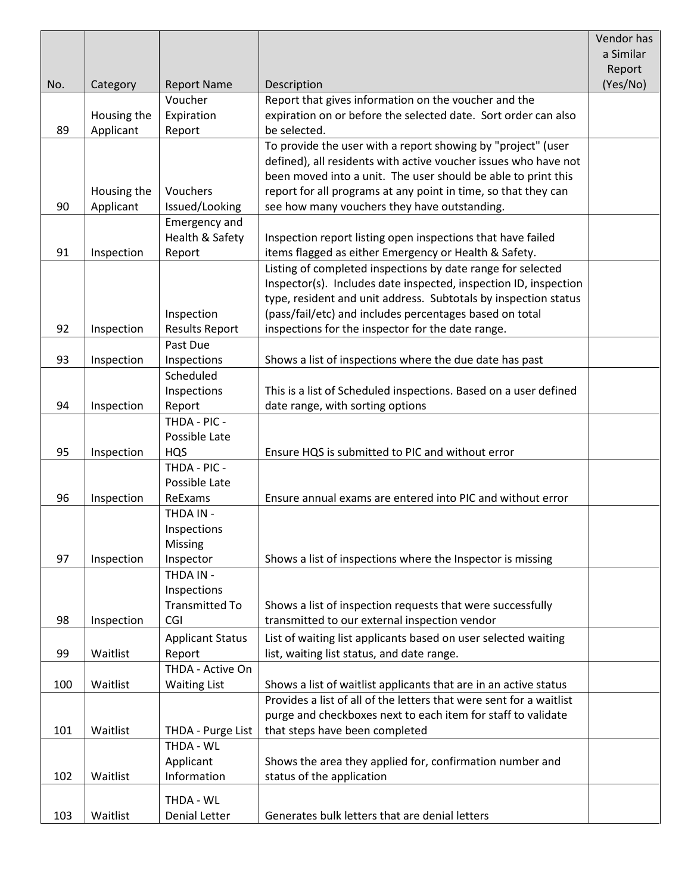|     |             |                         |                                                                                                              | Vendor has |
|-----|-------------|-------------------------|--------------------------------------------------------------------------------------------------------------|------------|
|     |             |                         |                                                                                                              | a Similar  |
|     |             |                         |                                                                                                              | Report     |
| No. | Category    | <b>Report Name</b>      | Description                                                                                                  | (Yes/No)   |
|     |             | Voucher                 | Report that gives information on the voucher and the                                                         |            |
|     | Housing the | Expiration              | expiration on or before the selected date. Sort order can also                                               |            |
| 89  | Applicant   | Report                  | be selected.                                                                                                 |            |
|     |             |                         | To provide the user with a report showing by "project" (user                                                 |            |
|     |             |                         | defined), all residents with active voucher issues who have not                                              |            |
|     |             |                         | been moved into a unit. The user should be able to print this                                                |            |
|     | Housing the | Vouchers                | report for all programs at any point in time, so that they can                                               |            |
| 90  | Applicant   | Issued/Looking          | see how many vouchers they have outstanding.                                                                 |            |
|     |             | <b>Emergency and</b>    |                                                                                                              |            |
|     |             | Health & Safety         | Inspection report listing open inspections that have failed                                                  |            |
| 91  | Inspection  | Report                  | items flagged as either Emergency or Health & Safety.                                                        |            |
|     |             |                         | Listing of completed inspections by date range for selected                                                  |            |
|     |             |                         | Inspector(s). Includes date inspected, inspection ID, inspection                                             |            |
|     |             |                         | type, resident and unit address. Subtotals by inspection status                                              |            |
|     |             | Inspection              | (pass/fail/etc) and includes percentages based on total                                                      |            |
| 92  | Inspection  | <b>Results Report</b>   | inspections for the inspector for the date range.                                                            |            |
|     |             | Past Due                |                                                                                                              |            |
| 93  | Inspection  | Inspections             | Shows a list of inspections where the due date has past                                                      |            |
|     |             | Scheduled               |                                                                                                              |            |
|     |             | Inspections             | This is a list of Scheduled inspections. Based on a user defined                                             |            |
| 94  | Inspection  | Report                  | date range, with sorting options                                                                             |            |
|     |             | THDA - PIC -            |                                                                                                              |            |
|     |             | Possible Late           |                                                                                                              |            |
| 95  | Inspection  | <b>HQS</b>              | Ensure HQS is submitted to PIC and without error                                                             |            |
|     |             | THDA - PIC -            |                                                                                                              |            |
|     |             | Possible Late           |                                                                                                              |            |
| 96  | Inspection  | ReExams                 | Ensure annual exams are entered into PIC and without error                                                   |            |
|     |             | THDA IN -               |                                                                                                              |            |
|     |             | Inspections             |                                                                                                              |            |
|     |             | Missing                 |                                                                                                              |            |
| 97  | Inspection  | Inspector<br>THDA IN -  | Shows a list of inspections where the Inspector is missing                                                   |            |
|     |             | Inspections             |                                                                                                              |            |
|     |             | <b>Transmitted To</b>   | Shows a list of inspection requests that were successfully                                                   |            |
| 98  | Inspection  | CGI                     | transmitted to our external inspection vendor                                                                |            |
|     |             | <b>Applicant Status</b> |                                                                                                              |            |
| 99  | Waitlist    | Report                  | List of waiting list applicants based on user selected waiting<br>list, waiting list status, and date range. |            |
|     |             | THDA - Active On        |                                                                                                              |            |
| 100 | Waitlist    | <b>Waiting List</b>     | Shows a list of waitlist applicants that are in an active status                                             |            |
|     |             |                         | Provides a list of all of the letters that were sent for a waitlist                                          |            |
|     |             |                         | purge and checkboxes next to each item for staff to validate                                                 |            |
| 101 | Waitlist    | THDA - Purge List       | that steps have been completed                                                                               |            |
|     |             | THDA - WL               |                                                                                                              |            |
|     |             | Applicant               |                                                                                                              |            |
| 102 | Waitlist    | Information             | Shows the area they applied for, confirmation number and<br>status of the application                        |            |
|     |             |                         |                                                                                                              |            |
|     |             | THDA - WL               |                                                                                                              |            |
| 103 | Waitlist    | <b>Denial Letter</b>    | Generates bulk letters that are denial letters                                                               |            |